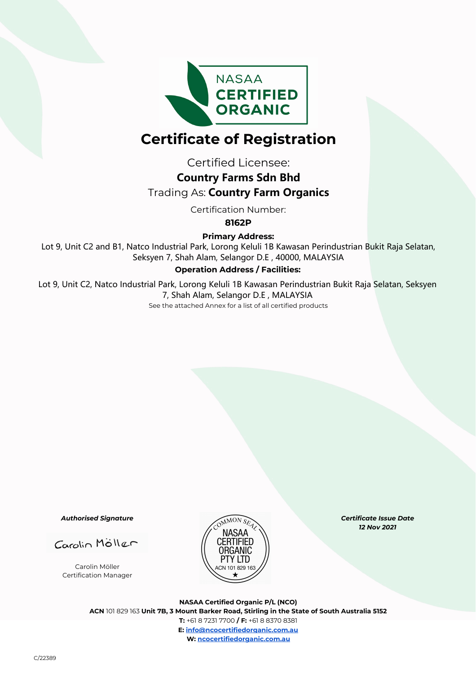

# **Certificate of Registration**

Certified Licensee:

## **Country Farms Sdn Bhd**

# Trading As: **Country Farm Organics**

Certification Number:

**8162P**

**Primary Address:**

Lot 9, Unit C2 and B1, Natco Industrial Park, Lorong Keluli 1B Kawasan Perindustrian Bukit Raja Selatan, Seksyen 7, Shah Alam, Selangor D.E , 40000, MALAYSIA

### **Operation Address / Facilities:**

Lot 9, Unit C2, Natco Industrial Park, Lorong Keluli 1B Kawasan Perindustrian Bukit Raja Selatan, Seksyen 7, Shah Alam, Selangor D.E , MALAYSIA

See the attached Annex for a list of all certified products

*Authorised Signature*

Carolin Möller

Carolin Möller Certification Manager



*Certificate Issue Date 12 Nov 2021* 

**NASAA Certified Organic P/L (NCO) ACN** 101 829 163 **Unit 7B, 3 Mount Barker Road, Stirling in the State of South Australia 5152 T:** +61 8 7231 7700 **/ F:** +61 8 8370 8381 **E: info@ncocertifiedorganic.com.au W: ncocertifiedorganic.com.au**

C/22389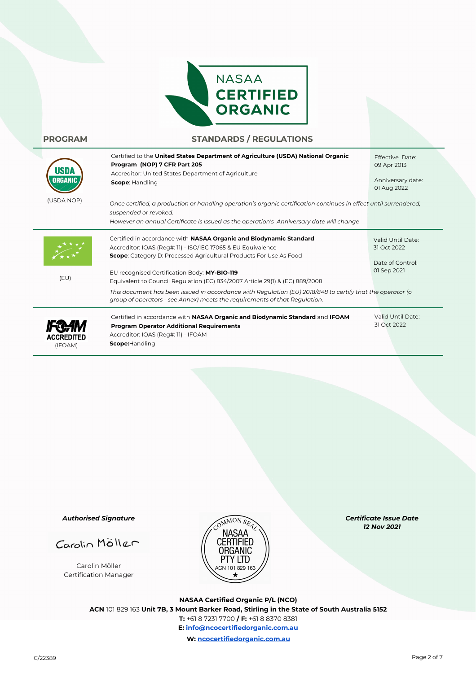

### **PROGRAM STANDARDS / REGULATIONS**

| ORGANIO                      | Certified to the United States Department of Agriculture (USDA) National Organic<br>Program (NOP) 7 CFR Part 205<br>Accreditor: United States Department of Agriculture<br>Scope: Handling                                                                                                                                                                                                                                                                                                                                                  | Effective Date:<br>09 Apr 2013<br>Anniversary date:<br>01 Aug 2022  |
|------------------------------|---------------------------------------------------------------------------------------------------------------------------------------------------------------------------------------------------------------------------------------------------------------------------------------------------------------------------------------------------------------------------------------------------------------------------------------------------------------------------------------------------------------------------------------------|---------------------------------------------------------------------|
| (USDA NOP)                   | Once certified, a production or handling operation's organic certification continues in effect until surrendered,<br>suspended or revoked.<br>However an annual Certificate is issued as the operation's Anniversary date will change                                                                                                                                                                                                                                                                                                       |                                                                     |
| (EU)                         | Certified in accordance with NASAA Organic and Biodynamic Standard<br>Accreditor: IOAS (Reg#: 11) - ISO/IEC 17065 & EU Equivalence<br><b>Scope:</b> Category D: Processed Agricultural Products For Use As Food<br>EU recognised Certification Body: MY-BIO-119<br>Equivalent to Council Regulation (EC) 834/2007 Article 29(1) & (EC) 889/2008<br>This document has been issued in accordance with Regulation (EU) 2018/848 to certify that the operator (or<br>group of operators - see Annex) meets the requirements of that Regulation. | Valid Until Date:<br>31 Oct 2022<br>Date of Control:<br>01 Sep 2021 |
| <b>ACCREDITED</b><br>(IFOAM) | Certified in accordance with NASAA Organic and Biodynamic Standard and IFOAM<br><b>Program Operator Additional Requirements</b><br>Accreditor: IOAS (Reg#: 11) - IFOAM<br>Scope:Handling                                                                                                                                                                                                                                                                                                                                                    | Valid Until Date:<br>31 Oct 2022                                    |

*Authorised Signature*

Carolin Möller

Carolin Möller Certification Manager



*Certificate Issue Date 12 Nov 2021* 

**NASAA Certified Organic P/L (NCO) ACN** 101 829 163 **Unit 7B, 3 Mount Barker Road, Stirling in the State of South Australia 5152 T:** +61 8 7231 7700 **/ F:** +61 8 8370 8381 **E: info@ncocertifiedorganic.com.au W: ncocertifiedorganic.com.au**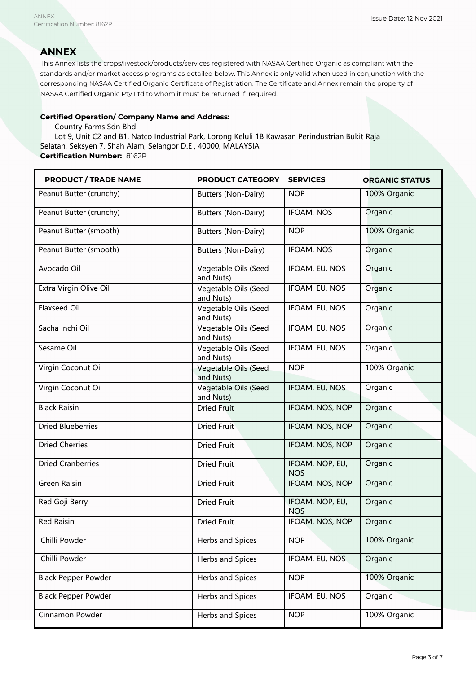### **ANNEX**

This Annex lists the crops/livestock/products/services registered with NASAA Certified Organic as compliant with the standards and/or market access programs as detailed below. This Annex is only valid when used in conjunction with the corresponding NASAA Certified Organic Certificate of Registration. The Certificate and Annex remain the property of NASAA Certified Organic Pty Ltd to whom it must be returned if required.

### **Certified Operation/ Company Name and Address:**

Country Farms Sdn Bhd

Lot 9, Unit C2 and B1, Natco Industrial Park, Lorong Keluli 1B Kawasan Perindustrian Bukit Raja Selatan, Seksyen 7, Shah Alam, Selangor D.E , 40000, MALAYSIA **Certification Number:** 8162P

| <b>PRODUCT / TRADE NAME</b> | PRODUCT CATEGORY                  | <b>SERVICES</b>               | <b>ORGANIC STATUS</b> |
|-----------------------------|-----------------------------------|-------------------------------|-----------------------|
| Peanut Butter (crunchy)     | Butters (Non-Dairy)               | <b>NOP</b>                    | 100% Organic          |
| Peanut Butter (crunchy)     | Butters (Non-Dairy)               | IFOAM, NOS                    | Organic               |
| Peanut Butter (smooth)      | Butters (Non-Dairy)               | <b>NOP</b>                    | 100% Organic          |
| Peanut Butter (smooth)      | Butters (Non-Dairy)               | <b>IFOAM, NOS</b>             | Organic               |
| Avocado Oil                 | Vegetable Oils (Seed<br>and Nuts) | IFOAM, EU, NOS                | Organic               |
| Extra Virgin Olive Oil      | Vegetable Oils (Seed<br>and Nuts) | IFOAM, EU, NOS                | Organic               |
| <b>Flaxseed Oil</b>         | Vegetable Oils (Seed<br>and Nuts) | IFOAM, EU, NOS                | Organic               |
| Sacha Inchi Oil             | Vegetable Oils (Seed<br>and Nuts) | IFOAM, EU, NOS                | Organic               |
| Sesame Oil                  | Vegetable Oils (Seed<br>and Nuts) | IFOAM, EU, NOS                | Organic               |
| Virgin Coconut Oil          | Vegetable Oils (Seed<br>and Nuts) | <b>NOP</b>                    | 100% Organic          |
| Virgin Coconut Oil          | Vegetable Oils (Seed<br>and Nuts) | IFOAM, EU, NOS                | Organic               |
| <b>Black Raisin</b>         | <b>Dried Fruit</b>                | IFOAM, NOS, NOP               | Organic               |
| <b>Dried Blueberries</b>    | <b>Dried Fruit</b>                | IFOAM, NOS, NOP               | Organic               |
| <b>Dried Cherries</b>       | <b>Dried Fruit</b>                | IFOAM, NOS, NOP               | Organic               |
| <b>Dried Cranberries</b>    | <b>Dried Fruit</b>                | IFOAM, NOP, EU,<br><b>NOS</b> | Organic               |
| <b>Green Raisin</b>         | <b>Dried Fruit</b>                | IFOAM, NOS, NOP               | Organic               |
| Red Goji Berry              | <b>Dried Fruit</b>                | IFOAM, NOP, EU,<br><b>NOS</b> | Organic               |
| <b>Red Raisin</b>           | <b>Dried Fruit</b>                | IFOAM, NOS, NOP               | Organic               |
| Chilli Powder               | Herbs and Spices                  | <b>NOP</b>                    | 100% Organic          |
| Chilli Powder               | Herbs and Spices                  | IFOAM, EU, NOS                | Organic               |
| <b>Black Pepper Powder</b>  | Herbs and Spices                  | <b>NOP</b>                    | 100% Organic          |
| <b>Black Pepper Powder</b>  | Herbs and Spices                  | IFOAM, EU, NOS                | Organic               |
| Cinnamon Powder             | Herbs and Spices                  | <b>NOP</b>                    | 100% Organic          |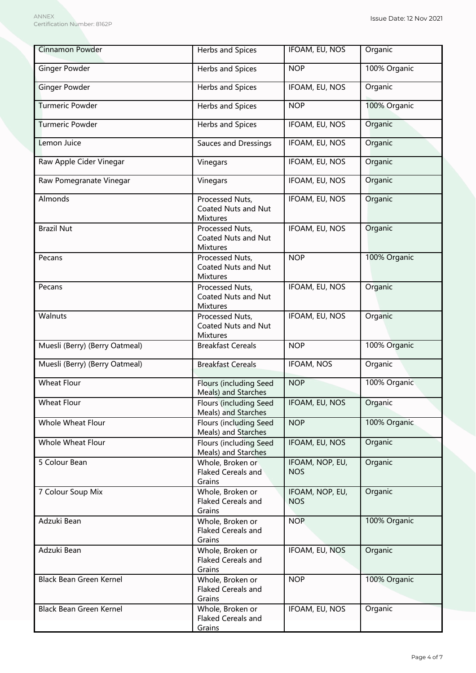| <b>Cinnamon Powder</b>         | <b>Herbs and Spices</b>                                          | <b>IFOAM, EU, NOS</b>         | Organic      |
|--------------------------------|------------------------------------------------------------------|-------------------------------|--------------|
| <b>Ginger Powder</b>           | Herbs and Spices                                                 | <b>NOP</b>                    | 100% Organic |
| <b>Ginger Powder</b>           | Herbs and Spices                                                 | IFOAM, EU, NOS                | Organic      |
| <b>Turmeric Powder</b>         | Herbs and Spices                                                 | <b>NOP</b>                    | 100% Organic |
| <b>Turmeric Powder</b>         | Herbs and Spices                                                 | IFOAM, EU, NOS                | Organic      |
| Lemon Juice                    | Sauces and Dressings                                             | <b>IFOAM, EU, NOS</b>         | Organic      |
| Raw Apple Cider Vinegar        | Vinegars                                                         | IFOAM, EU, NOS                | Organic      |
| Raw Pomegranate Vinegar        | Vinegars                                                         | IFOAM, EU, NOS                | Organic      |
| Almonds                        | Processed Nuts,<br><b>Coated Nuts and Nut</b><br><b>Mixtures</b> | IFOAM, EU, NOS                | Organic      |
| <b>Brazil Nut</b>              | Processed Nuts,<br>Coated Nuts and Nut<br><b>Mixtures</b>        | IFOAM, EU, NOS                | Organic      |
| Pecans                         | Processed Nuts,<br>Coated Nuts and Nut<br><b>Mixtures</b>        | <b>NOP</b>                    | 100% Organic |
| Pecans                         | Processed Nuts,<br>Coated Nuts and Nut<br><b>Mixtures</b>        | IFOAM, EU, NOS                | Organic      |
| Walnuts                        | Processed Nuts,<br>Coated Nuts and Nut<br><b>Mixtures</b>        | IFOAM, EU, NOS                | Organic      |
| Muesli (Berry) (Berry Oatmeal) | <b>Breakfast Cereals</b>                                         | <b>NOP</b>                    | 100% Organic |
| Muesli (Berry) (Berry Oatmeal) | <b>Breakfast Cereals</b>                                         | <b>IFOAM, NOS</b>             | Organic      |
| <b>Wheat Flour</b>             | Flours (including Seed<br>Meals) and Starches                    | <b>NOP</b>                    | 100% Organic |
| <b>Wheat Flour</b>             | <b>Flours (including Seed</b><br>Meals) and Starches             | IFOAM, EU, NOS                | Organic      |
| Whole Wheat Flour              | Flours (including Seed<br>Meals) and Starches                    | <b>NOP</b>                    | 100% Organic |
| <b>Whole Wheat Flour</b>       | Flours (including Seed<br>Meals) and Starches                    | IFOAM, EU, NOS                | Organic      |
| 5 Colour Bean                  | Whole, Broken or<br><b>Flaked Cereals and</b><br>Grains          | IFOAM, NOP, EU,<br><b>NOS</b> | Organic      |
| 7 Colour Soup Mix              | Whole, Broken or<br>Flaked Cereals and<br>Grains                 | IFOAM, NOP, EU,<br><b>NOS</b> | Organic      |
| Adzuki Bean                    | Whole, Broken or<br>Flaked Cereals and<br>Grains                 | <b>NOP</b>                    | 100% Organic |
| Adzuki Bean                    | Whole, Broken or<br>Flaked Cereals and<br>Grains                 | IFOAM, EU, NOS                | Organic      |
| Black Bean Green Kernel        | Whole, Broken or<br>Flaked Cereals and<br>Grains                 | <b>NOP</b>                    | 100% Organic |
| Black Bean Green Kernel        | Whole, Broken or<br>Flaked Cereals and<br>Grains                 | IFOAM, EU, NOS                | Organic      |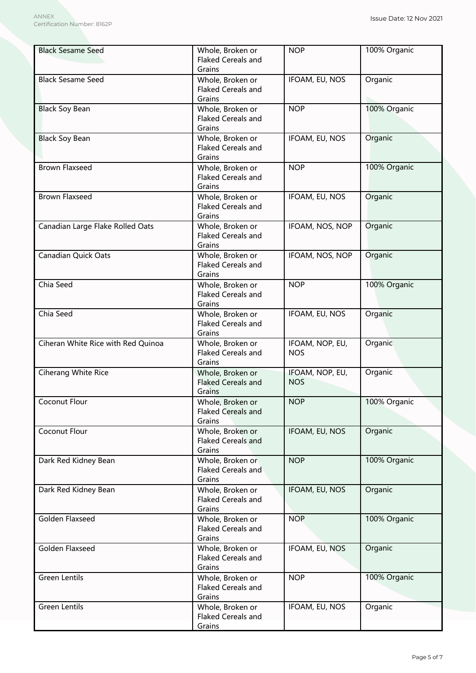| <b>Black Sesame Seed</b>           | Whole, Broken or<br>Flaked Cereals and<br>Grains        | <b>NOP</b>                    | 100% Organic |
|------------------------------------|---------------------------------------------------------|-------------------------------|--------------|
| <b>Black Sesame Seed</b>           | Whole, Broken or<br><b>Flaked Cereals and</b><br>Grains | IFOAM, EU, NOS                | Organic      |
| <b>Black Soy Bean</b>              | Whole, Broken or<br><b>Flaked Cereals and</b><br>Grains | <b>NOP</b>                    | 100% Organic |
| <b>Black Soy Bean</b>              | Whole, Broken or<br><b>Flaked Cereals and</b><br>Grains | IFOAM, EU, NOS                | Organic      |
| <b>Brown Flaxseed</b>              | Whole, Broken or<br><b>Flaked Cereals and</b><br>Grains | <b>NOP</b>                    | 100% Organic |
| <b>Brown Flaxseed</b>              | Whole, Broken or<br><b>Flaked Cereals and</b><br>Grains | IFOAM, EU, NOS                | Organic      |
| Canadian Large Flake Rolled Oats   | Whole, Broken or<br><b>Flaked Cereals and</b><br>Grains | IFOAM, NOS, NOP               | Organic      |
| <b>Canadian Quick Oats</b>         | Whole, Broken or<br>Flaked Cereals and<br>Grains        | IFOAM, NOS, NOP               | Organic      |
| Chia Seed                          | Whole, Broken or<br>Flaked Cereals and<br>Grains        | <b>NOP</b>                    | 100% Organic |
| Chia Seed                          | Whole, Broken or<br>Flaked Cereals and<br>Grains        | IFOAM, EU, NOS                | Organic      |
| Ciheran White Rice with Red Quinoa | Whole, Broken or<br>Flaked Cereals and<br>Grains        | IFOAM, NOP, EU,<br><b>NOS</b> | Organic      |
| Ciherang White Rice                | Whole, Broken or<br><b>Flaked Cereals and</b><br>Grains | IFOAM, NOP, EU,<br><b>NOS</b> | Organic      |
| Coconut Flour                      | Whole, Broken or<br><b>Flaked Cereals and</b><br>Grains | <b>NOP</b>                    | 100% Organic |
| Coconut Flour                      | Whole, Broken or<br><b>Flaked Cereals and</b><br>Grains | IFOAM, EU, NOS                | Organic      |
| Dark Red Kidney Bean               | Whole, Broken or<br><b>Flaked Cereals and</b><br>Grains | <b>NOP</b>                    | 100% Organic |
| Dark Red Kidney Bean               | Whole, Broken or<br>Flaked Cereals and<br>Grains        | IFOAM, EU, NOS                | Organic      |
| Golden Flaxseed                    | Whole, Broken or<br>Flaked Cereals and<br>Grains        | <b>NOP</b>                    | 100% Organic |
| Golden Flaxseed                    | Whole, Broken or<br>Flaked Cereals and<br>Grains        | IFOAM, EU, NOS                | Organic      |
| <b>Green Lentils</b>               | Whole, Broken or<br>Flaked Cereals and<br>Grains        | <b>NOP</b>                    | 100% Organic |
| <b>Green Lentils</b>               | Whole, Broken or<br>Flaked Cereals and<br>Grains        | IFOAM, EU, NOS                | Organic      |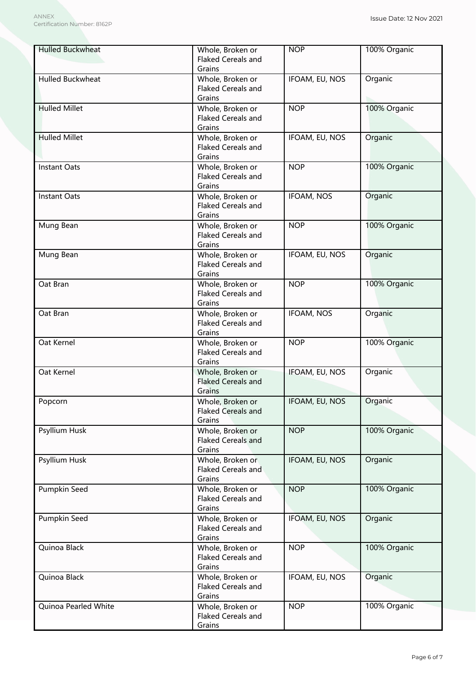| <b>Hulled Buckwheat</b> | Whole, Broken or<br>Flaked Cereals and<br>Grains        | <b>NOP</b>        | 100% Organic |
|-------------------------|---------------------------------------------------------|-------------------|--------------|
| Hulled Buckwheat        | Whole, Broken or<br>Flaked Cereals and<br>Grains        | IFOAM, EU, NOS    | Organic      |
| <b>Hulled Millet</b>    | Whole, Broken or<br><b>Flaked Cereals and</b><br>Grains | <b>NOP</b>        | 100% Organic |
| <b>Hulled Millet</b>    | Whole, Broken or<br><b>Flaked Cereals and</b><br>Grains | IFOAM, EU, NOS    | Organic      |
| <b>Instant Oats</b>     | Whole, Broken or<br><b>Flaked Cereals and</b><br>Grains | <b>NOP</b>        | 100% Organic |
| <b>Instant Oats</b>     | Whole, Broken or<br>Flaked Cereals and<br>Grains        | IFOAM, NOS        | Organic      |
| Mung Bean               | Whole, Broken or<br><b>Flaked Cereals and</b><br>Grains | <b>NOP</b>        | 100% Organic |
| Mung Bean               | Whole, Broken or<br>Flaked Cereals and<br>Grains        | IFOAM, EU, NOS    | Organic      |
| Oat Bran                | Whole, Broken or<br>Flaked Cereals and<br>Grains        | <b>NOP</b>        | 100% Organic |
| Oat Bran                | Whole, Broken or<br>Flaked Cereals and<br>Grains        | <b>IFOAM, NOS</b> | Organic      |
| Oat Kernel              | Whole, Broken or<br>Flaked Cereals and<br>Grains        | <b>NOP</b>        | 100% Organic |
| Oat Kernel              | Whole, Broken or<br><b>Flaked Cereals and</b><br>Grains | IFOAM, EU, NOS    | Organic      |
| Popcorn                 | Whole, Broken or<br><b>Flaked Cereals and</b><br>Grains | IFOAM, EU, NOS    | Organic      |
| Psyllium Husk           | Whole, Broken or<br>Flaked Cereals and<br>Grains        | <b>NOP</b>        | 100% Organic |
| Psyllium Husk           | Whole, Broken or<br><b>Flaked Cereals and</b><br>Grains | IFOAM, EU, NOS    | Organic      |
| Pumpkin Seed            | Whole, Broken or<br>Flaked Cereals and<br>Grains        | <b>NOP</b>        | 100% Organic |
| Pumpkin Seed            | Whole, Broken or<br>Flaked Cereals and<br>Grains        | IFOAM, EU, NOS    | Organic      |
| Quinoa Black            | Whole, Broken or<br>Flaked Cereals and<br>Grains        | <b>NOP</b>        | 100% Organic |
| Quinoa Black            | Whole, Broken or<br>Flaked Cereals and<br>Grains        | IFOAM, EU, NOS    | Organic      |
| Quinoa Pearled White    | Whole, Broken or<br>Flaked Cereals and<br>Grains        | <b>NOP</b>        | 100% Organic |